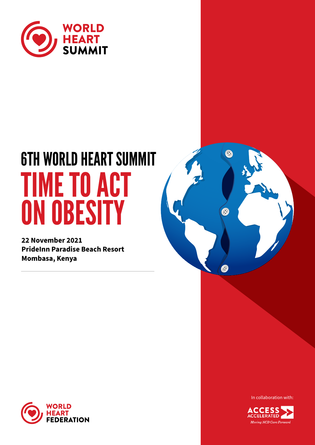

# 6TH WORLD HEART SUMMIT TIME TO ACT ON OBESITY

**22 November 2021 PrideInn Paradise Beach Resort Mombasa, Kenya**





In collaboration with:

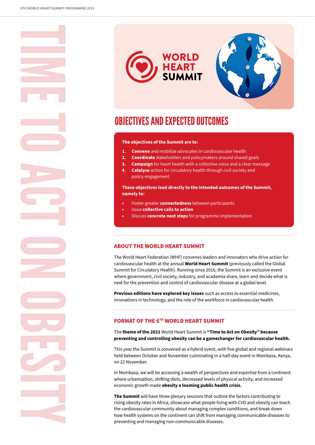TIME TO ACT ON OBESITY



## OBJECTIVES AND EXPECTED OUTCOMES

#### **The objectives of the Summit are to:**

- **1. Convene** and mobilize advocates in cardiovascular health
- **2. Coordinate** stakeholders and policymakers around shared goals
- **3. Campaign** for heart health with a collective voice and a clear message
- **4. Catalyse** action for circulatory health through civil society and policy engagement

**These objectives lead directly to the intended outcomes of the Summit, namely to:** 

- **•** Foster greater **connectedness** between participants
- **•** Issue **collective calls to action**
- **•** Discuss **concrete next steps** for programme implementation

#### **ABOUT THE WORLD HEART SUMMIT**

The World Heart Federation (WHF) convenes leaders and innovators who drive action for cardiovascular health at the annual **World Heart Summit** (previously called the Global Summit for Circulatory Health). Running since 2016, the Summit is an exclusive event where government, civil society, industry, and academia share, learn and decide what is next for the prevention and control of cardiovascular disease at a global level.

**Previous editions have explored key issues** such as access to essential medicines, innovations in technology, and the role of the workforce in cardiovascular health.

### **FORMAT OF THE 6TH WORLD HEART SUMMIT**

The **theme of the 2021** World Heart Summit is **"Time to Act on Obesity" because preventing and controlling obesity can be a gamechanger for cardiovascular health.**

This year the Summit is convened as a hybrid event, with five global and regional webinars held between October and November culminating in a half-day event in Mombasa, Kenya, on 22 November.

In Mombasa, we will be accessing a wealth of perspectives and expertise from a continent where urbanization, shifting diets, decreased levels of physical activity, and increased economic growth made **obesity a looming public health crisis.** 

**The Summit** will have three plenary sessions that outline the factors contributing to rising obesity rates in Africa, showcase what people living with CVD and obesity can teach the cardiovascular community about managing complex conditions, and break down how health systems on the continent can shift from managing communicable diseases to preventing and managing non-communicable diseases.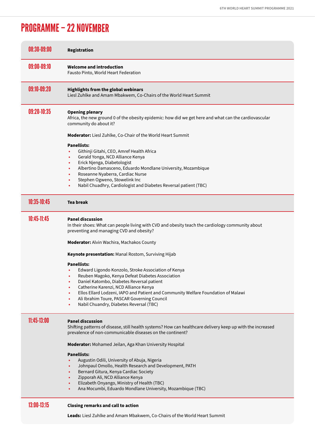## PROGRAMME – 22 NOVEMBER

| 08:30-09:00 | <b>Registration</b>                                                                                                                                                                                                                                                                                                                                                                                                       |
|-------------|---------------------------------------------------------------------------------------------------------------------------------------------------------------------------------------------------------------------------------------------------------------------------------------------------------------------------------------------------------------------------------------------------------------------------|
| 09:00-09:10 | <b>Welcome and introduction</b><br>Fausto Pinto, World Heart Federation                                                                                                                                                                                                                                                                                                                                                   |
| 09:10-09:20 | <b>Highlights from the global webinars</b><br>Liesl Zuhlke and Amam Mbakwem, Co-Chairs of the World Heart Summit                                                                                                                                                                                                                                                                                                          |
| 09:20-10:35 | <b>Opening plenary</b><br>Africa, the new ground 0 of the obesity epidemic: how did we get here and what can the cardiovascular<br>community do about it?                                                                                                                                                                                                                                                                 |
|             | <b>Moderator:</b> Liesl Zuhlke, Co-Chair of the World Heart Summit                                                                                                                                                                                                                                                                                                                                                        |
|             | <b>Panellists:</b><br>Githinji Gitahi, CEO, Amref Health Africa<br>Gerald Yonga, NCD Alliance Kenya<br>$\bullet$<br>Erick Njenga, Diabetologist<br>$\bullet$<br>Albertino Damasceno, Eduardo Mondlane University, Mozambique<br>٠<br>Roseanne Nyaberra, Cardiac Nurse<br>Stephen Ogweno, Stowelink Inc<br>Nabil Chuadhry, Cardiologist and Diabetes Reversal patient (TBC)                                                |
| 10:35-10:45 | <b>Tea break</b>                                                                                                                                                                                                                                                                                                                                                                                                          |
| 10:45-11:45 | <b>Panel discussion</b><br>In their shoes: What can people living with CVD and obesity teach the cardiology community about<br>preventing and managing CVD and obesity?<br>Moderator: Alvin Wachira, Machakos County<br>Keynote presentation: Manal Rostom, Surviving Hijab                                                                                                                                               |
|             | <b>Panellists:</b><br>Edward Ligondo Konzolo, Stroke Association of Kenya<br>Reuben Magoko, Kenya Defeat Diabetes Association<br>Daniel Katombo, Diabetes Reversal patient<br>Catherine Karenzi, NCD Alliance Kenya<br>٠<br>Ellos Ellard Lodzeni, IAPO and Patient and Community Welfare Foundation of Malawi<br>Ali Ibrahim Toure, PASCAR Governing Council<br>$\bullet$<br>Nabil Chuandry, Diabetes Reversal (TBC)<br>٠ |
| 11:45-13:00 | <b>Panel discussion</b><br>Shifting patterns of disease, still health systems? How can healthcare delivery keep up with the increased<br>prevalence of non-communicable diseases on the continent?                                                                                                                                                                                                                        |
|             | Moderator: Mohamed Jeilan, Aga Khan University Hospital                                                                                                                                                                                                                                                                                                                                                                   |
|             | <b>Panellists:</b><br>Augustin Odili, University of Abuja, Nigeria<br>Johnpaul Omollo, Health Research and Development, PATH<br>Bernard Gitura, Kenya Cardiac Society<br>٠<br>Zipporah Ali, NCD Alliance Kenya<br>٠<br>Elizabeth Onyango, Ministry of Health (TBC)<br>$\bullet$<br>Ana Mocumbi, Eduardo Mondlane University, Mozambique (TBC)<br>$\bullet$                                                                |
| 13:00-13:15 | <b>Closing remarks and call to action</b>                                                                                                                                                                                                                                                                                                                                                                                 |
|             | Leads: Liesl Zuhlke and Amam Mbakwem, Co-Chairs of the World Heart Summit                                                                                                                                                                                                                                                                                                                                                 |